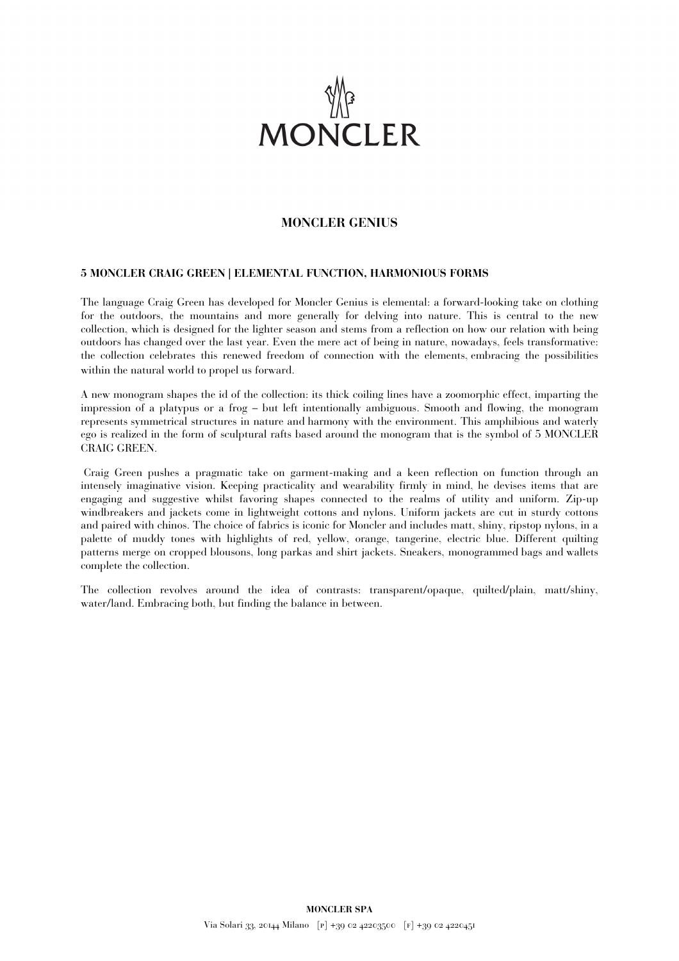

## **MONCLER GENIUS**

## **5 MONCLER CRAIG GREEN | ELEMENTAL FUNCTION, HARMONIOUS FORMS**

The language Craig Green has developed for Moncler Genius is elemental: a forward-looking take on clothing for the outdoors, the mountains and more generally for delving into nature. This is central to the new collection, which is designed for the lighter season and stems from a reflection on how our relation with being outdoors has changed over the last year. Even the mere act of being in nature, nowadays, feels transformative: the collection celebrates this renewed freedom of connection with the elements, embracing the possibilities within the natural world to propel us forward.

A new monogram shapes the id of the collection: its thick coiling lines have a zoomorphic effect, imparting the impression of a platypus or a frog – but left intentionally ambiguous. Smooth and flowing, the monogram represents symmetrical structures in nature and harmony with the environment. This amphibious and waterly ego is realized in the form of sculptural rafts based around the monogram that is the symbol of 5 MONCLER CRAIG GREEN.

Craig Green pushes a pragmatic take on garment-making and a keen reflection on function through an intensely imaginative vision. Keeping practicality and wearability firmly in mind, he devises items that are engaging and suggestive whilst favoring shapes connected to the realms of utility and uniform. Zip-up windbreakers and jackets come in lightweight cottons and nylons. Uniform jackets are cut in sturdy cottons and paired with chinos. The choice of fabrics is iconic for Moncler and includes matt, shiny, ripstop nylons, in a palette of muddy tones with highlights of red, yellow, orange, tangerine, electric blue. Different quilting patterns merge on cropped blousons, long parkas and shirt jackets. Sneakers, monogrammed bags and wallets complete the collection.

The collection revolves around the idea of contrasts: transparent/opaque, quilted/plain, matt/shiny, water/land. Embracing both, but finding the balance in between.